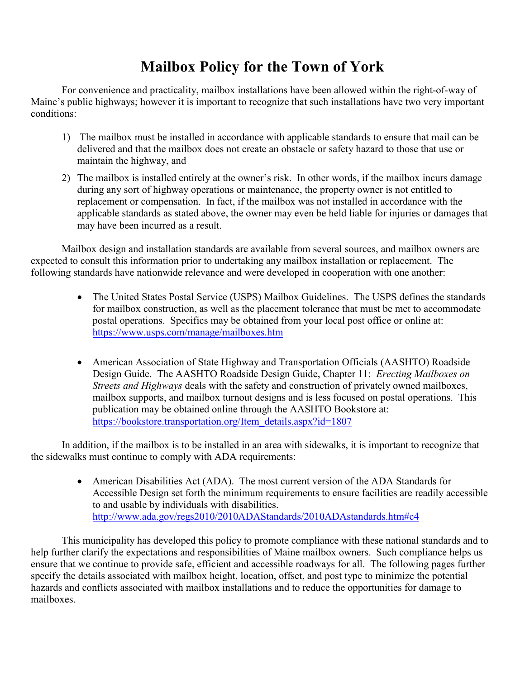# **Mailbox Policy for the Town of York**

For convenience and practicality, mailbox installations have been allowed within the right-of-way of Maine's public highways; however it is important to recognize that such installations have two very important conditions:

- 1) The mailbox must be installed in accordance with applicable standards to ensure that mail can be delivered and that the mailbox does not create an obstacle or safety hazard to those that use or maintain the highway, and
- 2) The mailbox is installed entirely at the owner's risk. In other words, if the mailbox incurs damage during any sort of highway operations or maintenance, the property owner is not entitled to replacement or compensation. In fact, if the mailbox was not installed in accordance with the applicable standards as stated above, the owner may even be held liable for injuries or damages that may have been incurred as a result.

Mailbox design and installation standards are available from several sources, and mailbox owners are expected to consult this information prior to undertaking any mailbox installation or replacement. The following standards have nationwide relevance and were developed in cooperation with one another:

- The United States Postal Service (USPS) Mailbox Guidelines. The USPS defines the standards for mailbox construction, as well as the placement tolerance that must be met to accommodate postal operations. Specifics may be obtained from your local post office or online at: https://www.usps.com/manage/mailboxes.htm
- American Association of State Highway and Transportation Officials (AASHTO) Roadside Design Guide. The AASHTO Roadside Design Guide, Chapter 11: *Erecting Mailboxes on Streets and Highways* deals with the safety and construction of privately owned mailboxes, mailbox supports, and mailbox turnout designs and is less focused on postal operations. This publication may be obtained online through the AASHTO Bookstore at: https://bookstore.transportation.org/Item\_details.aspx?id=1807

In addition, if the mailbox is to be installed in an area with sidewalks, it is important to recognize that the sidewalks must continue to comply with ADA requirements:

> • American Disabilities Act (ADA). The most current version of the ADA Standards for Accessible Design set forth the minimum requirements to ensure facilities are readily accessible to and usable by individuals with disabilities. http://www.ada.gov/regs2010/2010ADAStandards/2010ADAstandards.htm#c4

This municipality has developed this policy to promote compliance with these national standards and to help further clarify the expectations and responsibilities of Maine mailbox owners. Such compliance helps us ensure that we continue to provide safe, efficient and accessible roadways for all. The following pages further specify the details associated with mailbox height, location, offset, and post type to minimize the potential hazards and conflicts associated with mailbox installations and to reduce the opportunities for damage to mailboxes.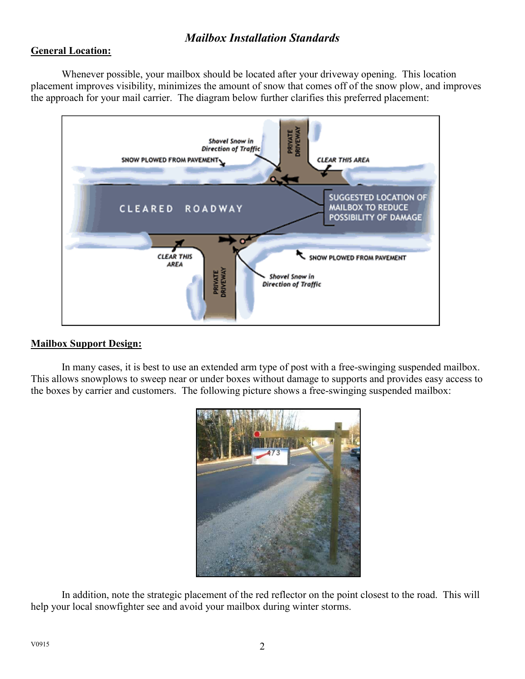# *Mailbox Installation Standards*

### **General Location:**

Whenever possible, your mailbox should be located after your driveway opening. This location placement improves visibility, minimizes the amount of snow that comes off of the snow plow, and improves the approach for your mail carrier. The diagram below further clarifies this preferred placement:



#### **Mailbox Support Design:**

In many cases, it is best to use an extended arm type of post with a free-swinging suspended mailbox. This allows snowplows to sweep near or under boxes without damage to supports and provides easy access to the boxes by carrier and customers. The following picture shows a free-swinging suspended mailbox:



In addition, note the strategic placement of the red reflector on the point closest to the road. This will help your local snowfighter see and avoid your mailbox during winter storms.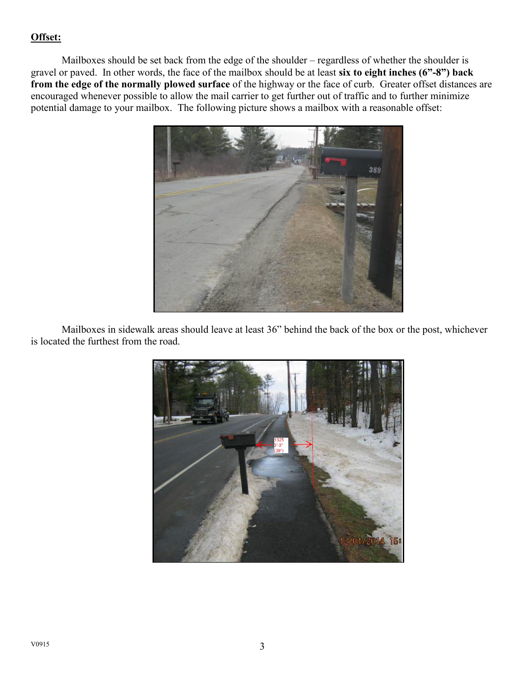## **Offset:**

Mailboxes should be set back from the edge of the shoulder – regardless of whether the shoulder is gravel or paved. In other words, the face of the mailbox should be at least **six to eight inches (6"-8") back from the edge of the normally plowed surface** of the highway or the face of curb. Greater offset distances are encouraged whenever possible to allow the mail carrier to get further out of traffic and to further minimize potential damage to your mailbox. The following picture shows a mailbox with a reasonable offset:



Mailboxes in sidewalk areas should leave at least 36" behind the back of the box or the post, whichever is located the furthest from the road.

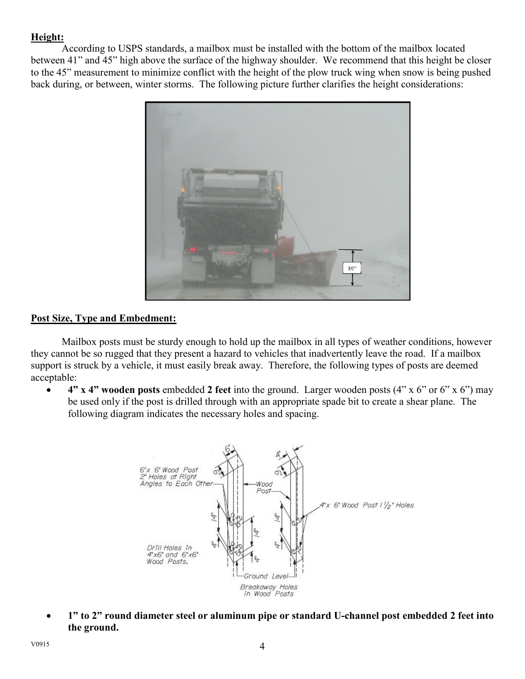## **Height:**

According to USPS standards, a mailbox must be installed with the bottom of the mailbox located between 41" and 45" high above the surface of the highway shoulder. We recommend that this height be closer to the 45" measurement to minimize conflict with the height of the plow truck wing when snow is being pushed back during, or between, winter storms. The following picture further clarifies the height considerations:



#### **Post Size, Type and Embedment:**

Mailbox posts must be sturdy enough to hold up the mailbox in all types of weather conditions, however they cannot be so rugged that they present a hazard to vehicles that inadvertently leave the road. If a mailbox support is struck by a vehicle, it must easily break away. Therefore, the following types of posts are deemed acceptable:

x **4" x 4" wooden posts** embedded **2 feet** into the ground. Larger wooden posts (4" x 6" or 6" x 6") may be used only if the post is drilled through with an appropriate spade bit to create a shear plane. The following diagram indicates the necessary holes and spacing.



x **1" to 2" round diameter steel or aluminum pipe or standard U-channel post embedded 2 feet into the ground.**